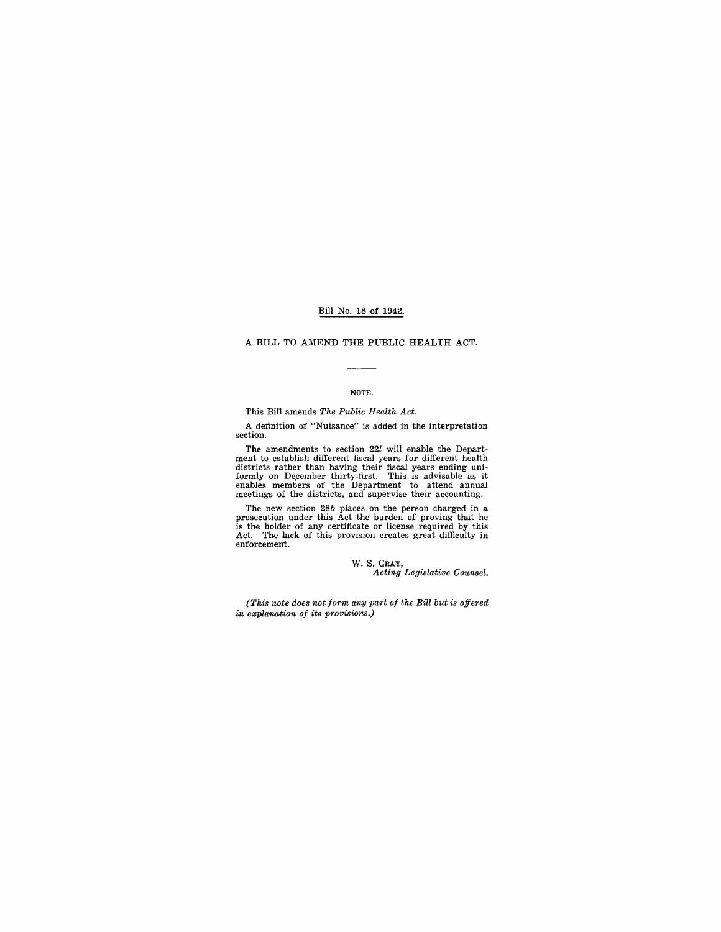# Bill No. 18 of 1942.

# A BILL TO AMEND THE PUBLIC HEALTH ACT.

## NOTE.

## This BiI'l amends *The Public Health Act.*

A definition of "Nuisance" is added in the interpretation section.

The amendments to section 22*l* will enable the Depart-<br>ment to establish different fiscal years for different health<br>districts rather than having their fiscal years ending uni-<br>formly on December thirty-first. This is adv

The new section 28b places on the person charged in a prosecution under this Act the burden of proving that he halder of any certificate or license required by this Act. The lack of this provision creates great difficulty

w. S. GRAY, *Acting Legislative Counsel.* 

*(Th.is note does not form any part of the Bill but* is *offered in explanation of its provisions.)*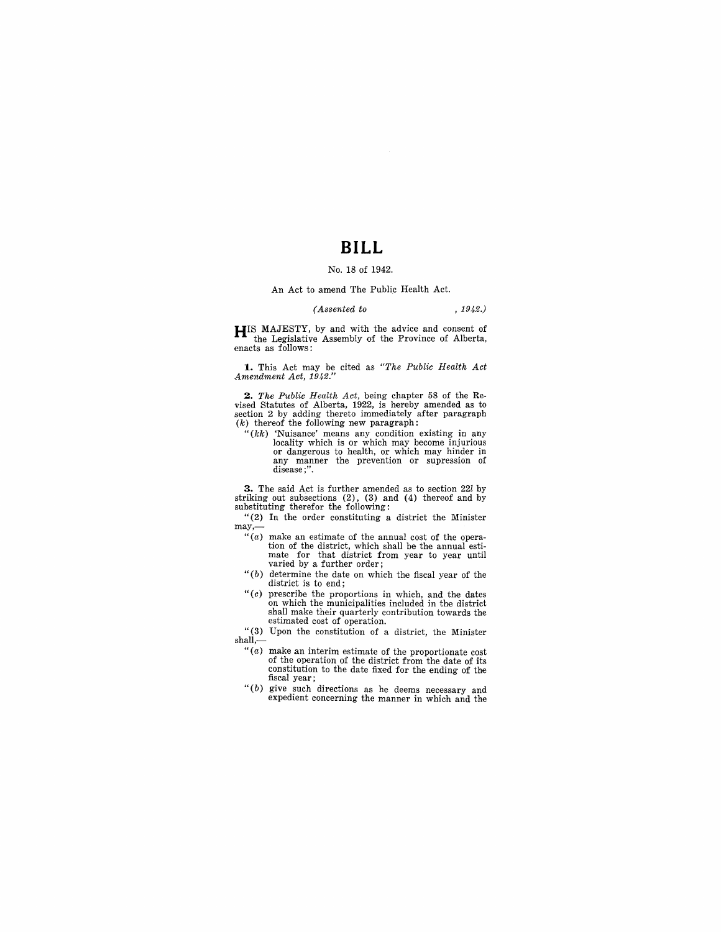# **BILL**

# No. 18 of 1942.

#### An Act to amend The Public Health Act.

# *(Assented to* , 1942.)

**HIS MAJESTY**, by and with the advice and consent of the Legislative Assembly of the Province of Alberta, enacts as follows:

**1.** This Act may be cited as *"The Public Health Act Amendment Act, 1942."* 

2. The Public Health Act, being chapter 58 of the Revised Statutes of Alberta, 1922, is hereby amended as to section 2 by adding thereto immediately after paragraph  $(k)$  thereof the following new paragraph:

" $(kk)$  'Nuisance' means any condition existing in any locality which is or which may become injurious or dangerous to health, or which may hinder in any manner the prevention or supression of disease ;".

**3.** The said Act is further amended as to section 22*l* by striking out subsections (2), (3) and (4) thereof and by substituting therefor the following:

"(2) In the order constituting a district the Minister may,-

- $``(a)$  make an estimate of the annual cost of the operation of the district, which shall be the annual esti-mate for that district from year to year until varied by a further order;
- " $(b)$  determine the date on which the fiscal year of the district is to end;
- *"(c)* prescribe the proportions in which, and the dates on which the municipalities included in the district shall make their quarterly contribution towards the estimated cost of operation.
- "(3) Upon the constitution of a district, the Minister shall,-
	- "(a) make an interim estimate of the proportionate cost of the operation of the district from the date of its constitution to the date fixed for the ending of the fiscal year;
	- "(b) give such directions as he deems necessary and expedient concerning the manner in which and the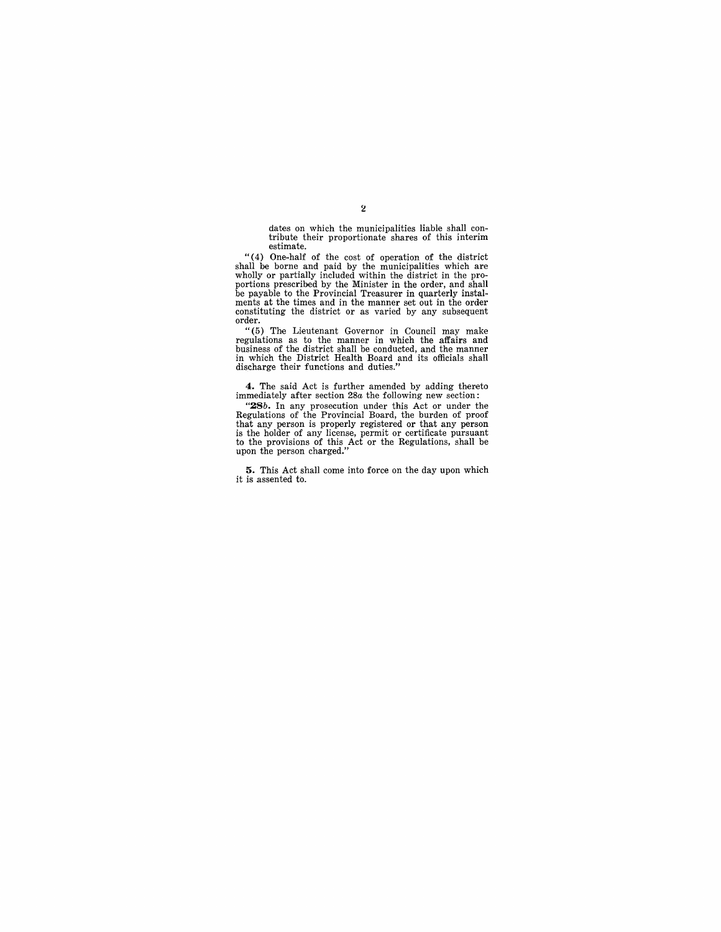dates on which the municipalities liable shall con- tribute their proportionate shares of this interim estimate.

"(4) One-half of the cost of operation of the district shall be borne and paid by the municipalities which are<br>wholly or partially included within the district in the pro-<br>portions prescribed by the Minister in the order, and shall<br>be payable to the Provincial Treasurer in qua order.

" (5) The Lieutenant Governor in Council may make regulations as to the manner in which the affairs and business of the district shall be conducted, and the manner in which the District Health Board and its officials shall discharge their functions and duties."

**4.** The said Act is further amended by adding thereto immediately after section *28a* the following new section:

" $28b$ . In any prosecution under this Act or under the Regulations of the Provincial Board, the burden of proof that any person is properly registered or that any person is the holder of any license, permit or certificate

**5.** This Act shall come into force on the day upon which it is assented to.

## $\overline{\bf 2}$